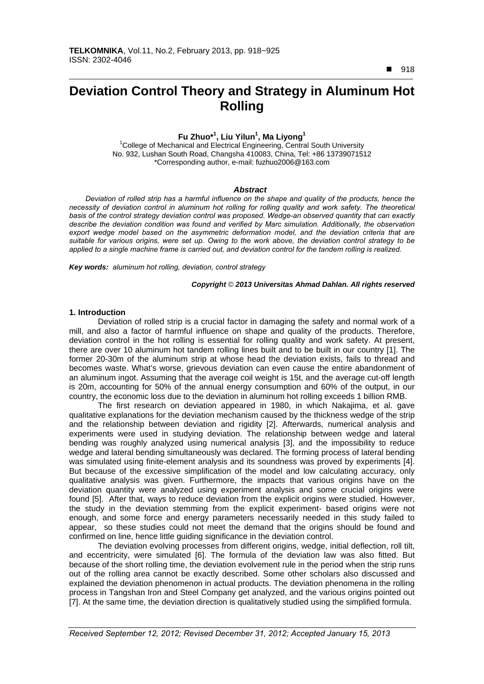$918$ 

 $\overline{a}$ 

# **Deviation Control Theory and Strategy in Aluminum Hot Rolling**

### **Fu Zhuo\*1 , Liu Yilun1 , Ma Liyong1**

<sup>1</sup>College of Mechanical and Electrical Engineering, Central South University No. 932, Lushan South Road, Changsha 410083, China, Tel: +86 13739071512 \*Corresponding author, e-mail: fuzhuo2006@163.com

### *Abstract*

*Deviation of rolled strip has a harmful influence on the shape and quality of the products, hence the necessity of deviation control in aluminum hot rolling for rolling quality and work safety. The theoretical basis of the control strategy deviation control was proposed. Wedge-an observed quantity that can exactly describe the deviation condition was found and verified by Marc simulation. Additionally, the observation*  export wedge model based on the asymmetric deformation model, and the deviation criteria that are *suitable for various origins, were set up. Owing to the work above, the deviation control strategy to be applied to a single machine frame is carried out, and deviation control for the tandem rolling is realized.* 

*Key words: aluminum hot rolling, deviation, control strategy* 

### *Copyright* © *2013 Universitas Ahmad Dahlan. All rights reserved*

### **1. Introduction**

Deviation of rolled strip is a crucial factor in damaging the safety and normal work of a mill, and also a factor of harmful influence on shape and quality of the products. Therefore, deviation control in the hot rolling is essential for rolling quality and work safety. At present, there are over 10 aluminum hot tandem rolling lines built and to be built in our country [1]. The former 20-30m of the aluminum strip at whose head the deviation exists, fails to thread and becomes waste. What's worse, grievous deviation can even cause the entire abandonment of an aluminum ingot. Assuming that the average coil weight is 15t, and the average cut-off length is 20m, accounting for 50% of the annual energy consumption and 60% of the output, in our country, the economic loss due to the deviation in aluminum hot rolling exceeds 1 billion RMB.

The first research on deviation appeared in 1980, in which Nakajima, et al. gave qualitative explanations for the deviation mechanism caused by the thickness wedge of the strip and the relationship between deviation and rigidity [2]. Afterwards, numerical analysis and experiments were used in studying deviation. The relationship between wedge and lateral bending was roughly analyzed using numerical analysis [3], and the impossibility to reduce wedge and lateral bending simultaneously was declared. The forming process of lateral bending was simulated using finite-element analysis and its soundness was proved by experiments [4]. But because of the excessive simplification of the model and low calculating accuracy, only qualitative analysis was given. Furthermore, the impacts that various origins have on the deviation quantity were analyzed using experiment analysis and some crucial origins were found [5]. After that, ways to reduce deviation from the explicit origins were studied. However, the study in the deviation stemming from the explicit experiment- based origins were not enough, and some force and energy parameters necessarily needed in this study failed to appear, so these studies could not meet the demand that the origins should be found and confirmed on line, hence little guiding significance in the deviation control.

The deviation evolving processes from different origins, wedge, initial deflection, roll tilt, and eccentricity, were simulated [6]. The formula of the deviation law was also fitted. But because of the short rolling time, the deviation evolvement rule in the period when the strip runs out of the rolling area cannot be exactly described. Some other scholars also discussed and explained the deviation phenomenon in actual products. The deviation phenomena in the rolling process in Tangshan Iron and Steel Company get analyzed, and the various origins pointed out [7]. At the same time, the deviation direction is qualitatively studied using the simplified formula.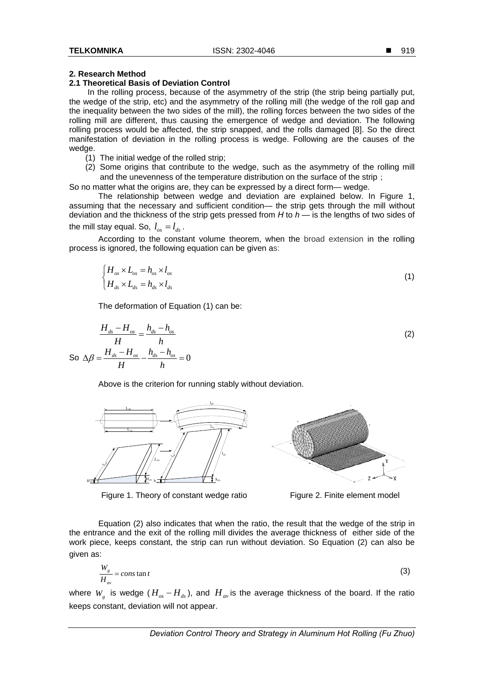### **2. Research Method**

### **2.1 Theoretical Basis of Deviation Control**

 In the rolling process, because of the asymmetry of the strip (the strip being partially put, the wedge of the strip, etc) and the asymmetry of the rolling mill (the wedge of the roll gap and the inequality between the two sides of the mill), the rolling forces between the two sides of the rolling mill are different, thus causing the emergence of wedge and deviation. The following rolling process would be affected, the strip snapped, and the rolls damaged [8]. So the direct manifestation of deviation in the rolling process is wedge. Following are the causes of the wedge.

- (1) The initial wedge of the rolled strip;
- (2) Some origins that contribute to the wedge, such as the asymmetry of the rolling mill and the unevenness of the temperature distribution on the surface of the strip;

So no matter what the origins are, they can be expressed by a direct form— wedge.

The relationship between wedge and deviation are explained below. In Figure 1, assuming that the necessary and sufficient condition— the strip gets through the mill without deviation and the thickness of the strip gets pressed from *H* to *h* — is the lengths of two sides of the mill stay equal. So,  $l_{\text{os}} = l_{\text{ds}}$ .

According to the constant volume theorem, when the broad extension in the rolling process is ignored, the following equation can be given as:

$$
\begin{cases}\nH_{os} \times L_{os} = h_{os} \times l_{os} \\
H_{ds} \times L_{ds} = h_{ds} \times l_{ds}\n\end{cases}
$$
\n(1)

The deformation of Equation (1) can be:

$$
\frac{H_{ds} - H_{os}}{H} = \frac{h_{ds} - h_{os}}{h}
$$
\n
$$
\text{So } \Delta \beta = \frac{H_{ds} - H_{os}}{H} - \frac{h_{ds} - h_{os}}{h} = 0
$$
\n
$$
\tag{2}
$$

Above is the criterion for running stably without deviation.



Figure 1. Theory of constant wedge ratio Figure 2. Finite element model



Equation (2) also indicates that when the ratio, the result that the wedge of the strip in the entrance and the exit of the rolling mill divides the average thickness of either side of the work piece, keeps constant, the strip can run without deviation. So Equation (2) can also be given as:

$$
\frac{W_s}{H_{av}} = constant
$$
 (3)

where  $W_{g}$  is wedge  $(H_{\alpha s} - H_{ds})$ , and  $H_{av}$  is the average thickness of the board. If the ratio keeps constant, deviation will not appear.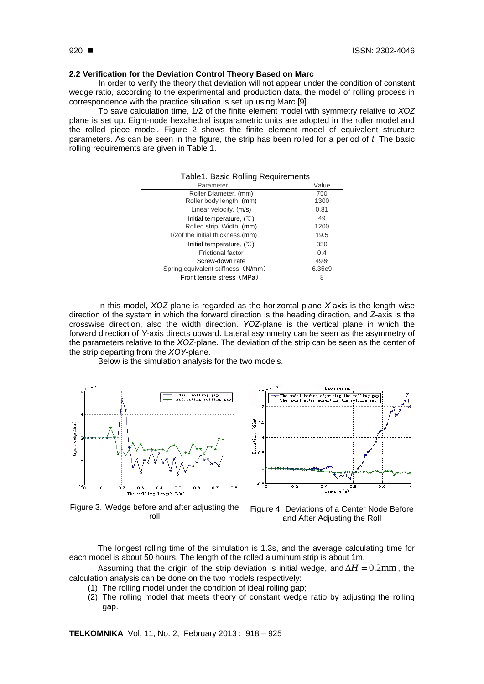## **2.2 Verification for the Deviation Control Theory Based on Marc**

In order to verify the theory that deviation will not appear under the condition of constant wedge ratio, according to the experimental and production data, the model of rolling process in correspondence with the practice situation is set up using Marc [9].

To save calculation time, 1/2 of the finite element model with symmetry relative to *XOZ*  plane is set up. Eight-node hexahedral isoparametric units are adopted in the roller model and the rolled piece model. Figure 2 shows the finite element model of equivalent structure parameters. As can be seen in the figure, the strip has been rolled for a period of *t*. The basic rolling requirements are given in Table 1.

| Table1. Basic Rolling Requirements  |        |  |
|-------------------------------------|--------|--|
| Parameter                           | Value  |  |
| Roller Diameter, (mm)               | 750    |  |
| Roller body length, (mm)            | 1300   |  |
| Linear velocity, (m/s)              | 0.81   |  |
| Initial temperature, $(°C)$         | 49     |  |
| Rolled strip Width, (mm)            | 1200   |  |
| 1/2of the initial thickness, (mm)   | 19.5   |  |
| Initial temperature, $(\mathbb{C})$ | 350    |  |
| Frictional factor                   | 0.4    |  |
| Screw-down rate                     | 49%    |  |
| Spring equivalent stiffness (N/mm)  | 6.35e9 |  |
| Front tensile stress (MPa)          | 8      |  |

In this model, *XOZ*-plane is regarded as the horizontal plane *X*-axis is the length wise direction of the system in which the forward direction is the heading direction, and *Z-*axis is the crosswise direction, also the width direction. *YOZ-*plane is the vertical plane in which the forward direction of *Y*-axis directs upward. Lateral asymmetry can be seen as the asymmetry of the parameters relative to the *XOZ*-plane. The deviation of the strip can be seen as the center of the strip departing from the *XOY*-plane.

Below is the simulation analysis for the two models.



Figure 3. Wedge before and after adjusting the



re and after adjusting the Figure 4. Deviations of a Center Node Before<br>roll and After Adjusting the Poll and After Adjusting the Roll

The longest rolling time of the simulation is 1.3s, and the average calculating time for each model is about 50 hours. The length of the rolled aluminum strip is about 1m.

Assuming that the origin of the strip deviation is initial wedge, and  $\Delta H = 0.2$ mm, the calculation analysis can be done on the two models respectively:

- (1) The rolling model under the condition of ideal rolling gap;
- (2) The rolling model that meets theory of constant wedge ratio by adjusting the rolling gap.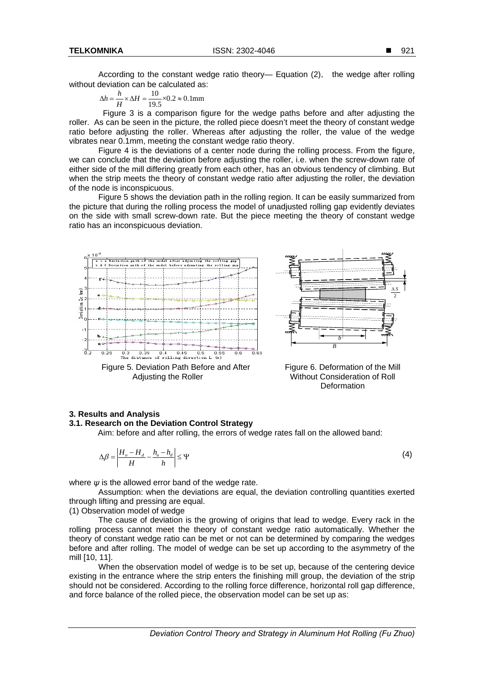According to the constant wedge ratio theory— Equation (2), the wedge after rolling without deviation can be calculated as:

 $\Delta h = \frac{h}{H} \times \Delta H = \frac{10}{19.5} \times 0.2 \approx 0.1$ mm

 Figure 3 is a comparison figure for the wedge paths before and after adjusting the roller. As can be seen in the picture, the rolled piece doesn't meet the theory of constant wedge ratio before adjusting the roller. Whereas after adjusting the roller, the value of the wedge vibrates near 0.1mm, meeting the constant wedge ratio theory.

Figure 4 is the deviations of a center node during the rolling process. From the figure, we can conclude that the deviation before adjusting the roller, i.e. when the screw-down rate of either side of the mill differing greatly from each other, has an obvious tendency of climbing. But when the strip meets the theory of constant wedge ratio after adjusting the roller, the deviation of the node is inconspicuous.

Figure 5 shows the deviation path in the rolling region. It can be easily summarized from the picture that during the rolling process the model of unadjusted rolling gap evidently deviates on the side with small screw-down rate. But the piece meeting the theory of constant wedge ratio has an inconspicuous deviation.



Figure 5. Deviation Path Before and After Adjusting the Roller



Figure 6. Deformation of the Mill Without Consideration of Roll **Deformation** 

### **3. Results and Analysis**

### **3.1. Research on the Deviation Control Strategy**

Aim: before and after rolling, the errors of wedge rates fall on the allowed band:

$$
\Delta \beta = \left| \frac{H_o - H_d}{H} - \frac{h_o - h_d}{h} \right| \le \Psi \tag{4}
$$

where  $\psi$  is the allowed error band of the wedge rate.

Assumption: when the deviations are equal, the deviation controlling quantities exerted through lifting and pressing are equal.

(1) Observation model of wedge

 The cause of deviation is the growing of origins that lead to wedge. Every rack in the rolling process cannot meet the theory of constant wedge ratio automatically. Whether the theory of constant wedge ratio can be met or not can be determined by comparing the wedges before and after rolling. The model of wedge can be set up according to the asymmetry of the mill [10, 11].

When the observation model of wedge is to be set up, because of the centering device existing in the entrance where the strip enters the finishing mill group, the deviation of the strip should not be considered. According to the rolling force difference, horizontal roll gap difference, and force balance of the rolled piece, the observation model can be set up as: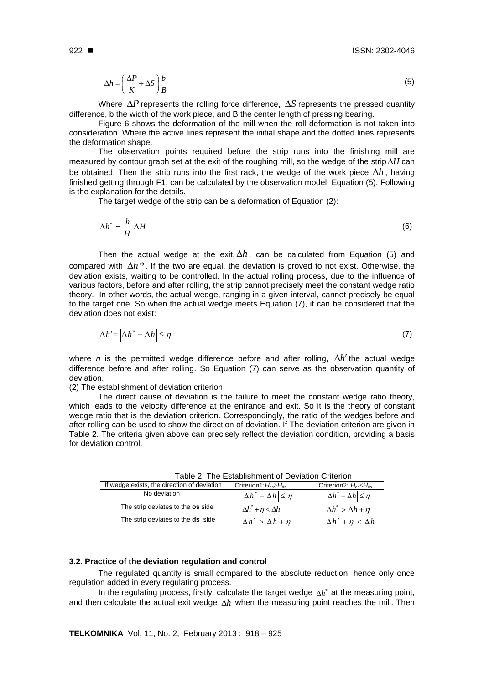$$
\Delta h = \left(\frac{\Delta P}{K} + \Delta S\right)\frac{b}{B} \tag{5}
$$

Where  $\Delta P$  represents the rolling force difference,  $\Delta S$  represents the pressed quantity difference, b the width of the work piece, and B the center length of pressing bearing.

Figure 6 shows the deformation of the mill when the roll deformation is not taken into consideration. Where the active lines represent the initial shape and the dotted lines represents the deformation shape.

The observation points required before the strip runs into the finishing mill are measured by contour graph set at the exit of the roughing mill, so the wedge of the strip  $\Delta H$  can be obtained. Then the strip runs into the first rack, the wedge of the work piece,  $\Delta h$ , having finished getting through F1, can be calculated by the observation model, Equation (5). Following is the explanation for the details.

The target wedge of the strip can be a deformation of Equation (2):

$$
\Delta h^* = \frac{h}{H} \Delta H \tag{6}
$$

Then the actual wedge at the exit,  $\Delta h$ , can be calculated from Equation (5) and compared with  $\Delta h^*$ . If the two are equal, the deviation is proved to not exist. Otherwise, the deviation exists, waiting to be controlled. In the actual rolling process, due to the influence of various factors, before and after rolling, the strip cannot precisely meet the constant wedge ratio theory. In other words, the actual wedge, ranging in a given interval, cannot precisely be equal to the target one. So when the actual wedge meets Equation (7), it can be considered that the deviation does not exist:

$$
\Delta h' = |\Delta h^* - \Delta h| \le \eta \tag{7}
$$

where  $\eta$  is the permitted wedge difference before and after rolling,  $\Delta h'$  the actual wedge difference before and after rolling. So Equation (7) can serve as the observation quantity of deviation.

(2) The establishment of deviation criterion

The direct cause of deviation is the failure to meet the constant wedge ratio theory, which leads to the velocity difference at the entrance and exit. So it is the theory of constant wedge ratio that is the deviation criterion. Correspondingly, the ratio of the wedges before and after rolling can be used to show the direction of deviation. If The deviation criterion are given in Table 2. The criteria given above can precisely reflect the deviation condition, providing a basis for deviation control.

| Table 2. The Establishment of Deviation Criterion |                                                |                                                |
|---------------------------------------------------|------------------------------------------------|------------------------------------------------|
| If wedge exists, the direction of deviation       | Criterion1: $H_{\text{os}} \geq H_{\text{ds}}$ | Criterion2: $H_{\text{os}} \leq H_{\text{ds}}$ |
| No deviation                                      | $\left \Delta h^* - \Delta h\right  \leq \eta$ | $\left \Delta h^* - \Delta h\right  \leq \eta$ |
| The strip deviates to the os side                 | $\Delta h^* + \eta < \Delta h$                 | $\Delta h^*$ > $\Delta h$ + $\eta$             |
| The strip deviates to the <b>ds</b> side          | $\Delta h^*$ > $\Delta h + \eta$               | $\Delta h^* + \eta < \Delta h$                 |

### **3.2. Practice of the deviation regulation and control**

The regulated quantity is small compared to the absolute reduction, hence only once regulation added in every regulating process.

In the regulating process, firstly, calculate the target wedge  $\Lambda h^*$  at the measuring point, and then calculate the actual exit wedge  $\Delta h$  when the measuring point reaches the mill. Then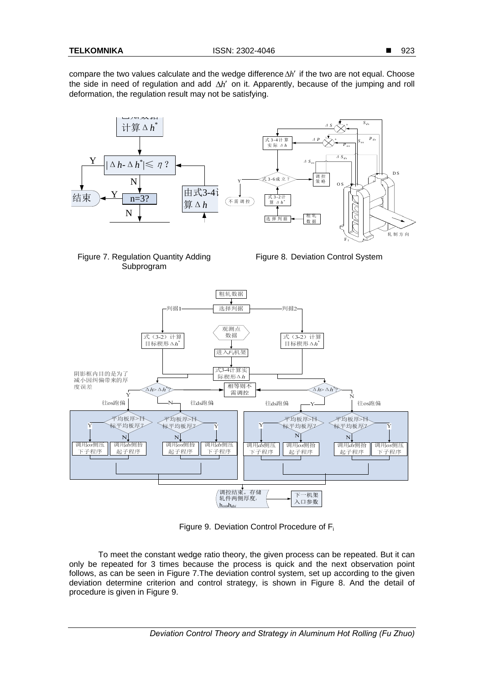compare the two values calculate and the wedge difference  $\Delta h'$  if the two are not equal. Choose the side in need of regulation and add  $\Delta h'$  on it. Apparently, because of the jumping and roll deformation, the regulation result may not be satisfying.





Figure 8. Deviation Control System



Figure 9. Deviation Control Procedure of Fi

To meet the constant wedge ratio theory, the given process can be repeated. But it can only be repeated for 3 times because the process is quick and the next observation point follows, as can be seen in Figure 7.The deviation control system, set up according to the given deviation determine criterion and control strategy, is shown in Figure 8. And the detail of procedure is given in Figure 9.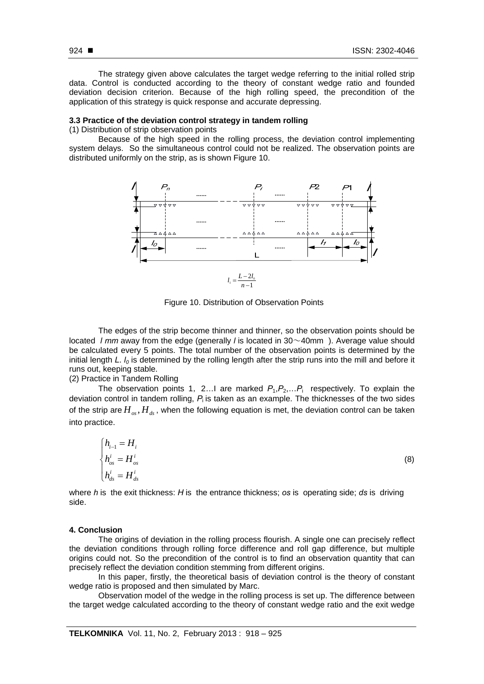The strategy given above calculates the target wedge referring to the initial rolled strip data. Control is conducted according to the theory of constant wedge ratio and founded deviation decision criterion. Because of the high rolling speed, the precondition of the application of this strategy is quick response and accurate depressing.

### **3.3 Practice of the deviation control strategy in tandem rolling**

(1) Distribution of strip observation points

Because of the high speed in the rolling process, the deviation control implementing system delays. So the simultaneous control could not be realized. The observation points are distributed uniformly on the strip, as is shown Figure 10.



Figure 10. Distribution of Observation Points

 The edges of the strip become thinner and thinner, so the observation points should be located *l mm* away from the edge (generally *l* is located in 30~40mm ). Average value should be calculated every 5 points. The total number of the observation points is determined by the initial length *L*. *l<sub>0</sub>* is determined by the rolling length after the strip runs into the mill and before it runs out, keeping stable.

(2) Practice in Tandem Rolling

The observation points 1, 2... I are marked  $P_1, P_2, \ldots, P_i$  respectively. To explain the deviation control in tandem rolling, *P*i is taken as an example. The thicknesses of the two sides of the strip are  $H_{\alpha}$ ,  $H_{\alpha}$ , when the following equation is met, the deviation control can be taken into practice.

$$
\begin{cases}\nh_{i-1} = H_i \\
h_{os}^i = H_{os}^i \\
h_{ds}^i = H_{ds}^i\n\end{cases}
$$
\n(8)

where *h* is the exit thickness: *H* is the entrance thickness; *os* is operating side; *ds* is driving side.

### **4. Conclusion**

The origins of deviation in the rolling process flourish. A single one can precisely reflect the deviation conditions through rolling force difference and roll gap difference, but multiple origins could not. So the precondition of the control is to find an observation quantity that can precisely reflect the deviation condition stemming from different origins.

In this paper, firstly, the theoretical basis of deviation control is the theory of constant wedge ratio is proposed and then simulated by Marc.

Observation model of the wedge in the rolling process is set up. The difference between the target wedge calculated according to the theory of constant wedge ratio and the exit wedge